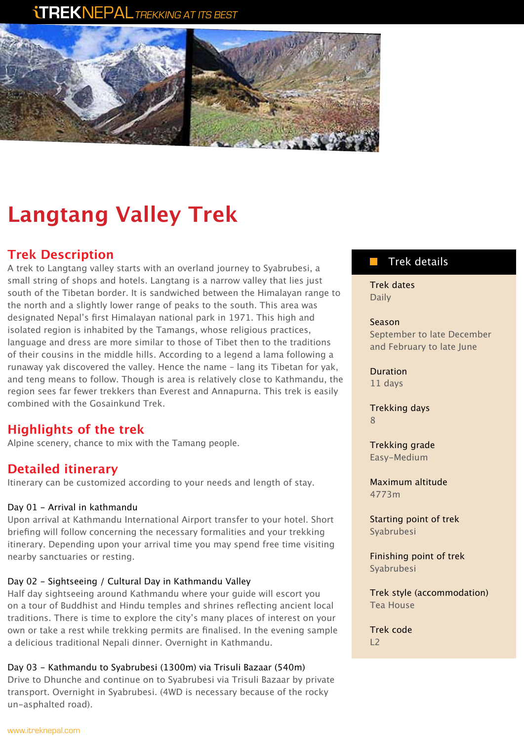# **TREKNEPAL** TREKKING AT ITS BEST



# **Langtang Valley Trek**

# **Trek Description**

A trek to Langtang valley starts with an overland journey to Syabrubesi, a small string of shops and hotels. Langtang is a narrow valley that lies just south of the Tibetan border. It is sandwiched between the Himalayan range to the north and a slightly lower range of peaks to the south. This area was designated Nepal's first Himalayan national park in 1971. This high and isolated region is inhabited by the Tamangs, whose religious practices, language and dress are more similar to those of Tibet then to the traditions of their cousins in the middle hills. According to a legend a lama following a runaway yak discovered the valley. Hence the name – lang its Tibetan for yak, and teng means to follow. Though is area is relatively close to Kathmandu, the region sees far fewer trekkers than Everest and Annapurna. This trek is easily combined with the Gosainkund Trek.

# **Highlights of the trek**

Alpine scenery, chance to mix with the Tamang people.

# **Detailed itinerary**

Itinerary can be customized according to your needs and length of stay.

#### Day 01 - Arrival in kathmandu

Upon arrival at Kathmandu International Airport transfer to your hotel. Short briefing will follow concerning the necessary formalities and your trekking itinerary. Depending upon your arrival time you may spend free time visiting nearby sanctuaries or resting.

#### Day 02 - Sightseeing / Cultural Day in Kathmandu Valley

Half day sightseeing around Kathmandu where your guide will escort you on a tour of Buddhist and Hindu temples and shrines reflecting ancient local traditions. There is time to explore the city's many places of interest on your own or take a rest while trekking permits are finalised. In the evening sample a delicious traditional Nepali dinner. Overnight in Kathmandu.

#### Day 03 - Kathmandu to Syabrubesi (1300m) via Trisuli Bazaar (540m)

Drive to Dhunche and continue on to Syabrubesi via Trisuli Bazaar by private transport. Overnight in Syabrubesi. (4WD is necessary because of the rocky un-asphalted road).

## Trek details

Trek dates Daily

Season September to late December and February to late June

Duration 11 days

Trekking days 8

Trekking grade Easy-Medium

Maximum altitude 4773m

Starting point of trek Syabrubesi

Finishing point of trek Syabrubesi

Trek style (accommodation) Tea House

Trek code  $\overline{12}$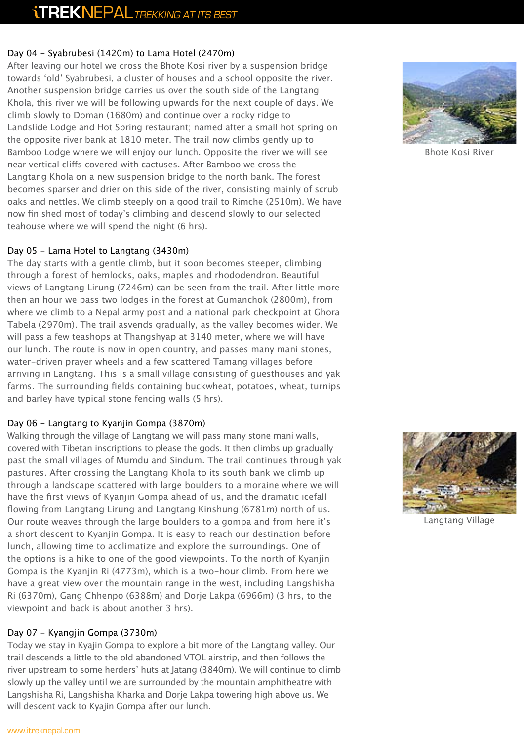#### Day 04 - Syabrubesi (1420m) to Lama Hotel (2470m)

After leaving our hotel we cross the Bhote Kosi river by a suspension bridge towards 'old' Syabrubesi, a cluster of houses and a school opposite the river. Another suspension bridge carries us over the south side of the Langtang Khola, this river we will be following upwards for the next couple of days. We climb slowly to Doman (1680m) and continue over a rocky ridge to Landslide Lodge and Hot Spring restaurant; named after a small hot spring on the opposite river bank at 1810 meter. The trail now climbs gently up to Bamboo Lodge where we will enjoy our lunch. Opposite the river we will see near vertical cliffs covered with cactuses. After Bamboo we cross the Langtang Khola on a new suspension bridge to the north bank. The forest becomes sparser and drier on this side of the river, consisting mainly of scrub oaks and nettles. We climb steeply on a good trail to Rimche (2510m). We have now finished most of today's climbing and descend slowly to our selected teahouse where we will spend the night (6 hrs).

#### Day 05 - Lama Hotel to Langtang (3430m)

The day starts with a gentle climb, but it soon becomes steeper, climbing through a forest of hemlocks, oaks, maples and rhododendron. Beautiful views of Langtang Lirung (7246m) can be seen from the trail. After little more then an hour we pass two lodges in the forest at Gumanchok (2800m), from where we climb to a Nepal army post and a national park checkpoint at Ghora Tabela (2970m). The trail asvends gradually, as the valley becomes wider. We will pass a few teashops at Thangshyap at 3140 meter, where we will have our lunch. The route is now in open country, and passes many mani stones, water-driven prayer wheels and a few scattered Tamang villages before arriving in Langtang. This is a small village consisting of guesthouses and yak farms. The surrounding fields containing buckwheat, potatoes, wheat, turnips and barley have typical stone fencing walls (5 hrs).

#### Day 06 - Langtang to Kyanjin Gompa (3870m)

Walking through the village of Langtang we will pass many stone mani walls, covered with Tibetan inscriptions to please the gods. It then climbs up gradually past the small villages of Mumdu and Sindum. The trail continues through yak pastures. After crossing the Langtang Khola to its south bank we climb up through a landscape scattered with large boulders to a moraine where we will have the first views of Kyanjin Gompa ahead of us, and the dramatic icefall flowing from Langtang Lirung and Langtang Kinshung (6781m) north of us. Our route weaves through the large boulders to a gompa and from here it's a short descent to Kyanjin Gompa. It is easy to reach our destination before lunch, allowing time to acclimatize and explore the surroundings. One of the options is a hike to one of the good viewpoints. To the north of Kyanjin Gompa is the Kyanjin Ri (4773m), which is a two-hour climb. From here we have a great view over the mountain range in the west, including Langshisha Ri (6370m), Gang Chhenpo (6388m) and Dorje Lakpa (6966m) (3 hrs, to the viewpoint and back is about another 3 hrs).

#### Day 07 - Kyangjin Gompa (3730m)

Today we stay in Kyajin Gompa to explore a bit more of the Langtang valley. Our trail descends a little to the old abandoned VTOL airstrip, and then follows the river upstream to some herders' huts at Jatang (3840m). We will continue to climb slowly up the valley until we are surrounded by the mountain amphitheatre with Langshisha Ri, Langshisha Kharka and Dorje Lakpa towering high above us. We will descent vack to Kyajin Gompa after our lunch.



Bhote Kosi River



Langtang Village